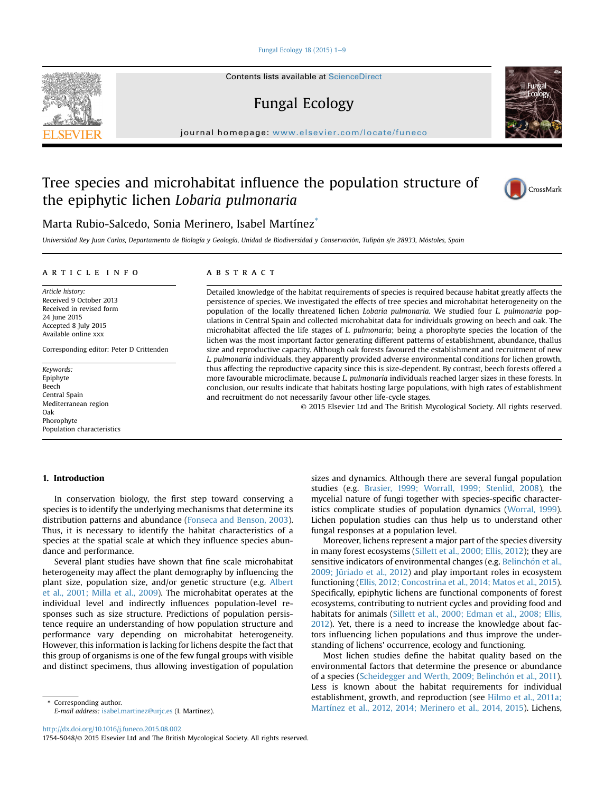# Fungal Ecology 18 (2015)  $1-9$  $1-9$

Contents lists available at ScienceDirect

Fungal Ecology

journal homepage: <www.elsevier.com/locate/funeco>

# Tree species and microhabitat influence the population structure of the epiphytic lichen Lobaria pulmonaria



Universidad Rey Juan Carlos, Departamento de Biología y Geología, Unidad de Biodiversidad y Conservación, Tulipán s/n 28933, Móstoles, Spain

# article info

Article history: Received 9 October 2013 Received in revised form 24 June 2015 Accepted 8 July 2015 Available online xxx

Corresponding editor: Peter D Crittenden

Keywords: Epiphyte Beech Central Spain Mediterranean region Oak Phorophyte Population characteristics

## 1. Introduction

In conservation biology, the first step toward conserving a species is to identify the underlying mechanisms that determine its distribution patterns and abundance ([Fonseca and Benson, 2003\)](#page-7-0). Thus, it is necessary to identify the habitat characteristics of a species at the spatial scale at which they influence species abundance and performance.

Several plant studies have shown that fine scale microhabitat heterogeneity may affect the plant demography by influencing the plant size, population size, and/or genetic structure (e.g. [Albert](#page-7-0) [et al., 2001; Milla et al., 2009](#page-7-0)). The microhabitat operates at the individual level and indirectly influences population-level responses such as size structure. Predictions of population persistence require an understanding of how population structure and performance vary depending on microhabitat heterogeneity. However, this information is lacking for lichens despite the fact that this group of organisms is one of the few fungal groups with visible and distinct specimens, thus allowing investigation of population

E-mail address: [isabel.martinez@urjc.es](mailto:isabel.martinez@urjc.es) (I. Martínez).

**ABSTRACT** 

Detailed knowledge of the habitat requirements of species is required because habitat greatly affects the persistence of species. We investigated the effects of tree species and microhabitat heterogeneity on the population of the locally threatened lichen Lobaria pulmonaria. We studied four L. pulmonaria populations in Central Spain and collected microhabitat data for individuals growing on beech and oak. The microhabitat affected the life stages of L. pulmonaria; being a phorophyte species the location of the lichen was the most important factor generating different patterns of establishment, abundance, thallus size and reproductive capacity. Although oak forests favoured the establishment and recruitment of new L. pulmonaria individuals, they apparently provided adverse environmental conditions for lichen growth, thus affecting the reproductive capacity since this is size-dependent. By contrast, beech forests offered a more favourable microclimate, because *L. pulmonaria* individuals reached larger sizes in these forests. In conclusion, our results indicate that habitats hosting large populations, with high rates of establishment and recruitment do not necessarily favour other life-cycle stages.

© 2015 Elsevier Ltd and The British Mycological Society. All rights reserved.

sizes and dynamics. Although there are several fungal population studies (e.g. [Brasier, 1999; Worrall, 1999; Stenlid, 2008\)](#page-7-0), the mycelial nature of fungi together with species-specific characteristics complicate studies of population dynamics [\(Worral, 1999\)](#page-8-0). Lichen population studies can thus help us to understand other fungal responses at a population level.

Moreover, lichens represent a major part of the species diversity in many forest ecosystems ([Sillett et al., 2000; Ellis, 2012](#page-8-0)); they are sensitive indicators of environmental changes (e.g. [Belinch](#page-7-0)ó[n et al.,](#page-7-0) [2009; Jüriado et al., 2012\)](#page-7-0) and play important roles in ecosystem functioning ([Ellis, 2012; Concostrina et al., 2014; Matos et al., 2015\)](#page-7-0). Specifically, epiphytic lichens are functional components of forest ecosystems, contributing to nutrient cycles and providing food and habitats for animals ([Sillett et al., 2000; Edman et al., 2008; Ellis,](#page-8-0) [2012\)](#page-8-0). Yet, there is a need to increase the knowledge about factors influencing lichen populations and thus improve the understanding of lichens' occurrence, ecology and functioning.

Most lichen studies define the habitat quality based on the environmental factors that determine the presence or abundance of a species [\(Scheidegger and Werth, 2009; Belinch](#page-8-0)ó[n et al., 2011](#page-8-0)). Less is known about the habitat requirements for individual establishment, growth, and reproduction (see [Hilmo et al., 2011a;](#page-7-0) Corresponding author.<br>
E mail address: isobel martinez@urices (I Martínez) [Martínez et al., 2012, 2014; Merinero et al., 2014, 2015](#page-7-0)). Lichens,

<http://dx.doi.org/10.1016/j.funeco.2015.08.002>

1754-5048/© 2015 Elsevier Ltd and The British Mycological Society. All rights reserved.



CrossMark

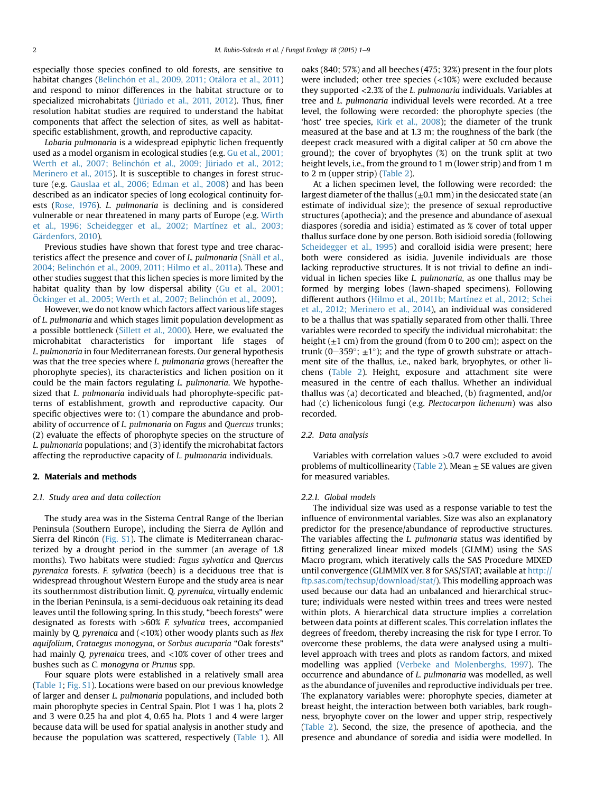especially those species confined to old forests, are sensitive to habitat changes (Belinchón et al., 2009, 2011; Otálora et al., 2011) and respond to minor differences in the habitat structure or to specialized microhabitats ([Jüriado et al., 2011, 2012\)](#page-8-0). Thus, finer resolution habitat studies are required to understand the habitat components that affect the selection of sites, as well as habitatspecific establishment, growth, and reproductive capacity.

Lobaria pulmonaria is a widespread epiphytic lichen frequently used as a model organism in ecological studies (e.g. [Gu et al., 2001;](#page-7-0) Werth et al., 2007; Belinchón et al., 2009; Jüriado et al., 2012; [Merinero et al., 2015\)](#page-7-0). It is susceptible to changes in forest structure (e.g. [Gauslaa et al., 2006; Edman et al., 2008\)](#page-7-0) and has been described as an indicator species of long ecological continuity forests [\(Rose, 1976](#page-8-0)). L. pulmonaria is declining and is considered vulnerable or near threatened in many parts of Europe (e.g. [Wirth](#page-8-0) [et al., 1996; Scheidegger et al., 2002; Martínez et al., 2003;](#page-8-0) Gärdenfors, 2010).

Previous studies have shown that forest type and tree characteristics affect the presence and cover of *L. pulmonaria* [\(Sn](#page-8-0)ä[ll et al.,](#page-8-0) 2004; Belinchón et al., 2009, 2011; Hilmo et al., 2011a). These and other studies suggest that this lichen species is more limited by the habitat quality than by low dispersal ability [\(Gu et al., 2001;](#page-7-0) Ö[ckinger et al., 2005; Werth et al., 2007; Belinch](#page-7-0)ón et al., 2009).

However, we do not know which factors affect various life stages of L. pulmonaria and which stages limit population development as a possible bottleneck [\(Sillett et al., 2000](#page-8-0)). Here, we evaluated the microhabitat characteristics for important life stages of L. pulmonaria in four Mediterranean forests. Our general hypothesis was that the tree species where L. pulmonaria grows (hereafter the phorophyte species), its characteristics and lichen position on it could be the main factors regulating L. pulmonaria. We hypothesized that L. pulmonaria individuals had phorophyte-specific patterns of establishment, growth and reproductive capacity. Our specific objectives were to: (1) compare the abundance and probability of occurrence of L. pulmonaria on Fagus and Quercus trunks; (2) evaluate the effects of phorophyte species on the structure of L. pulmonaria populations; and (3) identify the microhabitat factors affecting the reproductive capacity of L. pulmonaria individuals.

### 2. Materials and methods

#### 2.1. Study area and data collection

The study area was in the Sistema Central Range of the Iberian Peninsula (Southern Europe), including the Sierra de Ayllón and Sierra del Rincón (Fig. S1). The climate is Mediterranean characterized by a drought period in the summer (an average of 1.8 months). Two habitats were studied: Fagus sylvatica and Quercus pyrenaica forests. F. sylvatica (beech) is a deciduous tree that is widespread throughout Western Europe and the study area is near its southernmost distribution limit. Q. pyrenaica, virtually endemic in the Iberian Peninsula, is a semi-deciduous oak retaining its dead leaves until the following spring. In this study, "beech forests" were designated as forests with >60% F. sylvatica trees, accompanied mainly by Q. pyrenaica and  $\left($  < 10%) other woody plants such as Ilex aquifolium, Crataegus monogyna, or Sorbus aucuparia "Oak forests" had mainly Q. pyrenaica trees, and <10% cover of other trees and bushes such as C. monogyna or Prunus spp.

Four square plots were established in a relatively small area ([Table 1](#page-2-0); Fig. S1). Locations were based on our previous knowledge of larger and denser L. pulmonaria populations, and included both main phorophyte species in Central Spain. Plot 1 was 1 ha, plots 2 and 3 were 0.25 ha and plot 4, 0.65 ha. Plots 1 and 4 were larger because data will be used for spatial analysis in another study and because the population was scattered, respectively ([Table 1](#page-2-0)). All oaks (840; 57%) and all beeches (475; 32%) present in the four plots were included; other tree species (<10%) were excluded because they supported <2.3% of the L. pulmonaria individuals. Variables at tree and L. pulmonaria individual levels were recorded. At a tree level, the following were recorded: the phorophyte species (the 'host' tree species, [Kirk et al., 2008](#page-8-0)); the diameter of the trunk measured at the base and at 1.3 m; the roughness of the bark (the deepest crack measured with a digital caliper at 50 cm above the ground); the cover of bryophytes (%) on the trunk split at two height levels, i.e., from the ground to 1 m (lower strip) and from 1 m to 2 m (upper strip) ([Table 2](#page-2-0)).

At a lichen specimen level, the following were recorded: the largest diameter of the thallus  $(\pm 0.1 \text{ mm})$  in the desiccated state (an estimate of individual size); the presence of sexual reproductive structures (apothecia); and the presence and abundance of asexual diaspores (soredia and isidia) estimated as % cover of total upper thallus surface done by one person. Both isidioid soredia (following [Scheidegger et al., 1995](#page-8-0)) and coralloid isidia were present; here both were considered as isidia. Juvenile individuals are those lacking reproductive structures. It is not trivial to define an individual in lichen species like L. pulmonaria, as one thallus may be formed by merging lobes (lawn-shaped specimens). Following different authors ([Hilmo et al., 2011b; Martínez et al., 2012; Schei](#page-7-0) [et al., 2012; Merinero et al., 2014](#page-7-0)), an individual was considered to be a thallus that was spatially separated from other thalli. Three variables were recorded to specify the individual microhabitat: the height  $(\pm 1 \text{ cm})$  from the ground (from 0 to 200 cm); aspect on the trunk (0-359°;  $\pm$ 1°); and the type of growth substrate or attachment site of the thallus, i.e., naked bark, bryophytes, or other lichens [\(Table 2\)](#page-2-0). Height, exposure and attachment site were measured in the centre of each thallus. Whether an individual thallus was (a) decorticated and bleached, (b) fragmented, and/or had (c) lichenicolous fungi (e.g. Plectocarpon lichenum) was also recorded.

#### 2.2. Data analysis

Variables with correlation values >0.7 were excluded to avoid problems of multicollinearity ([Table 2\)](#page-2-0). Mean  $\pm$  SE values are given for measured variables.

#### 2.2.1. Global models

The individual size was used as a response variable to test the influence of environmental variables. Size was also an explanatory predictor for the presence/abundance of reproductive structures. The variables affecting the L. pulmonaria status was identified by fitting generalized linear mixed models (GLMM) using the SAS Macro program, which iteratively calls the SAS Procedure MIXED until convergence (GLIMMIX ver. 8 for SAS/STAT; available at [http://](http://ftp.sas.com/techsup/download/stat/) [ftp.sas.com/techsup/download/stat/](http://ftp.sas.com/techsup/download/stat/)). This modelling approach was used because our data had an unbalanced and hierarchical structure; individuals were nested within trees and trees were nested within plots. A hierarchical data structure implies a correlation between data points at different scales. This correlation inflates the degrees of freedom, thereby increasing the risk for type I error. To overcome these problems, the data were analysed using a multilevel approach with trees and plots as random factors, and mixed modelling was applied [\(Verbeke and Molenberghs, 1997](#page-8-0)). The occurrence and abundance of L. pulmonaria was modelled, as well as the abundance of juveniles and reproductive individuals per tree. The explanatory variables were: phorophyte species, diameter at breast height, the interaction between both variables, bark roughness, bryophyte cover on the lower and upper strip, respectively ([Table 2\)](#page-2-0). Second, the size, the presence of apothecia, and the presence and abundance of soredia and isidia were modelled. In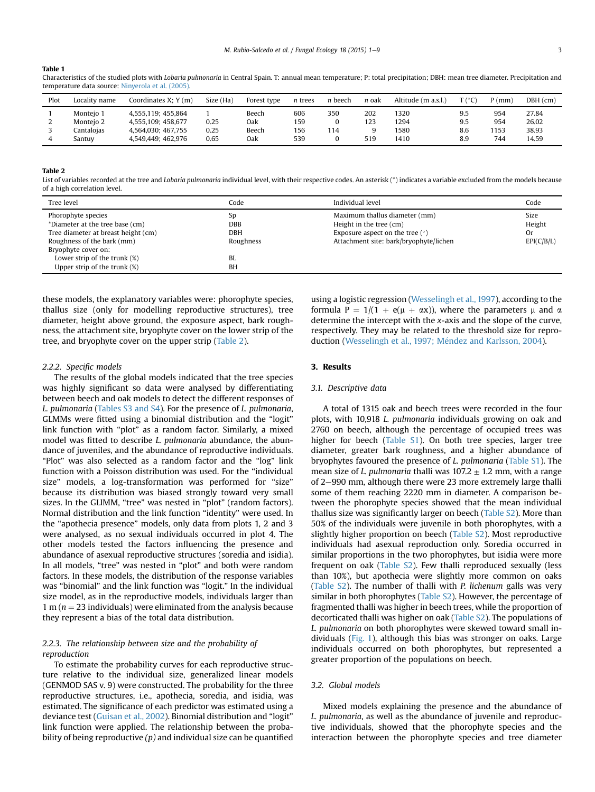# <span id="page-2-0"></span>Table 1

Characteristics of the studied plots with Lobaria pulmonaria in Central Spain. T: annual mean temperature; P: total precipitation; DBH: mean tree diameter. Precipitation and temperature data source: [Ninyerola et al. \(2005\)](#page-8-0).

| Plot | Locality name | Coordinates $X: Y(m)$ | Size (Ha) | Forest type | n trees | n beech | n oak | Altitude (m a.s.l.) | Τ (∘∩` | P(mm) | DBH (cm) |
|------|---------------|-----------------------|-----------|-------------|---------|---------|-------|---------------------|--------|-------|----------|
|      | Monteio 1     | 4.555.119: 455.864    |           | Beech       | 606     | 350     | 202   | 1320                | 9.5    | 954   | 27.84    |
|      | Monteio 2     | 4.555.109: 458.677    | 0.25      | Oak         | 159     |         | 123   | 1294                | 9.5    | 954   | 26.02    |
|      | Cantalojas    | 4.564.030: 467.755    | 0.25      | Beech       | 156     | 114     |       | 1580                | 8.6    | 153   | 38.93    |
|      | Santuv        | 4.549.449: 462.976    | 0.65      | Oak         | 539     |         | 519   | 1410                | 8.9    | 744   | 14.59    |

Table 2

List of variables recorded at the tree and Lobaria pulmonaria individual level, with their respective codes. An asterisk (\*) indicates a variable excluded from the models because of a high correlation level.

| Tree level                                                                                                                                        | Code                                 | Individual level                                                                                                                        | Code                               |
|---------------------------------------------------------------------------------------------------------------------------------------------------|--------------------------------------|-----------------------------------------------------------------------------------------------------------------------------------------|------------------------------------|
| Phorophyte species<br>*Diameter at the tree base (cm)<br>Tree diameter at breast height (cm)<br>Roughness of the bark (mm)<br>Bryophyte cover on: | Sp<br><b>DBB</b><br>DBH<br>Roughness | Maximum thallus diameter (mm)<br>Height in the tree (cm)<br>Exposure aspect on the tree $(°)$<br>Attachment site: bark/bryophyte/lichen | Size<br>Height<br>Or<br>EPI(C/B/L) |
| Lower strip of the trunk $(\%)$<br>Upper strip of the trunk $(\%)$                                                                                | BL<br>ВH                             |                                                                                                                                         |                                    |

these models, the explanatory variables were: phorophyte species, thallus size (only for modelling reproductive structures), tree diameter, height above ground, the exposure aspect, bark roughness, the attachment site, bryophyte cover on the lower strip of the tree, and bryophyte cover on the upper strip (Table 2).

# 2.2.2. Specific models

The results of the global models indicated that the tree species was highly significant so data were analysed by differentiating between beech and oak models to detect the different responses of L. pulmonaria (Tables S3 and S4). For the presence of L. pulmonaria, GLMMs were fitted using a binomial distribution and the "logit" link function with "plot" as a random factor. Similarly, a mixed model was fitted to describe L. pulmonaria abundance, the abundance of juveniles, and the abundance of reproductive individuals. "Plot" was also selected as a random factor and the "log" link function with a Poisson distribution was used. For the "individual size" models, a log-transformation was performed for "size" because its distribution was biased strongly toward very small sizes. In the GLIMM, "tree" was nested in "plot" (random factors). Normal distribution and the link function "identity" were used. In the "apothecia presence" models, only data from plots 1, 2 and 3 were analysed, as no sexual individuals occurred in plot 4. The other models tested the factors influencing the presence and abundance of asexual reproductive structures (soredia and isidia). In all models, "tree" was nested in "plot" and both were random factors. In these models, the distribution of the response variables was "binomial" and the link function was "logit." In the individual size model, as in the reproductive models, individuals larger than 1 m ( $n = 23$  individuals) were eliminated from the analysis because they represent a bias of the total data distribution.

# 2.2.3. The relationship between size and the probability of reproduction

To estimate the probability curves for each reproductive structure relative to the individual size, generalized linear models (GENMOD SAS v. 9) were constructed. The probability for the three reproductive structures, i.e., apothecia, soredia, and isidia, was estimated. The significance of each predictor was estimated using a deviance test ([Guisan et al., 2002](#page-7-0)). Binomial distribution and "logit" link function were applied. The relationship between the probability of being reproductive  $(p)$  and individual size can be quantified using a logistic regression ([Wesselingh et al., 1997\)](#page-8-0), according to the formula  $P = 1/(1 + e(\mu + \alpha x))$ , where the parameters  $\mu$  and  $\alpha$ determine the intercept with the x-axis and the slope of the curve, respectively. They may be related to the threshold size for reproduction (Wesselingh et al., 1997; Méndez and Karlsson, 2004).

# 3. Results

#### 3.1. Descriptive data

A total of 1315 oak and beech trees were recorded in the four plots, with 10,918 L. pulmonaria individuals growing on oak and 2760 on beech, although the percentage of occupied trees was higher for beech (Table S1). On both tree species, larger tree diameter, greater bark roughness, and a higher abundance of bryophytes favoured the presence of L. pulmonaria (Table S1). The mean size of *L. pulmonaria* thalli was  $107.2 \pm 1.2$  mm, with a range of 2-990 mm, although there were 23 more extremely large thalli some of them reaching 2220 mm in diameter. A comparison between the phorophyte species showed that the mean individual thallus size was significantly larger on beech (Table S2). More than 50% of the individuals were juvenile in both phorophytes, with a slightly higher proportion on beech (Table S2). Most reproductive individuals had asexual reproduction only. Soredia occurred in similar proportions in the two phorophytes, but isidia were more frequent on oak (Table S2). Few thalli reproduced sexually (less than 10%), but apothecia were slightly more common on oaks (Table S2). The number of thalli with P. lichenum galls was very similar in both phorophytes (Table S2). However, the percentage of fragmented thalli was higher in beech trees, while the proportion of decorticated thalli was higher on oak (Table S2). The populations of L. pulmonaria on both phorophytes were skewed toward small individuals [\(Fig. 1\)](#page-3-0), although this bias was stronger on oaks. Large individuals occurred on both phorophytes, but represented a greater proportion of the populations on beech.

# 3.2. Global models

Mixed models explaining the presence and the abundance of L. pulmonaria, as well as the abundance of juvenile and reproductive individuals, showed that the phorophyte species and the interaction between the phorophyte species and tree diameter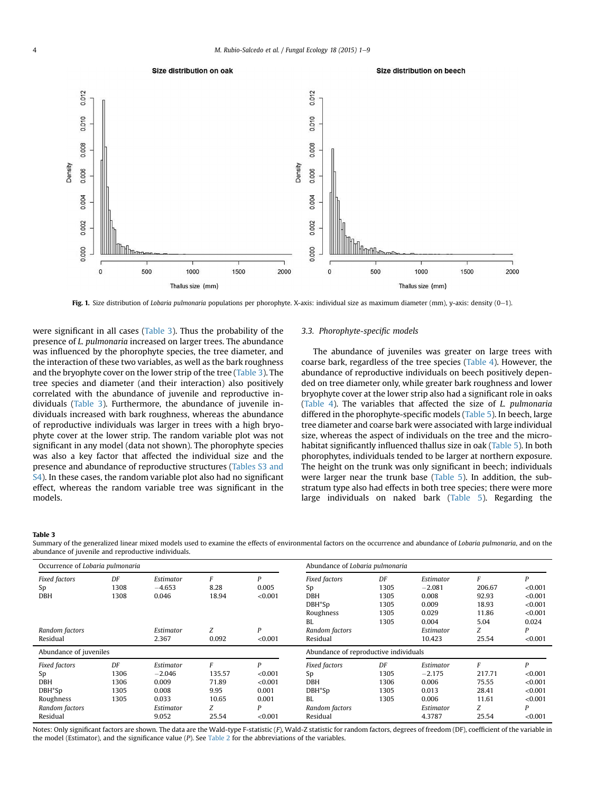<span id="page-3-0"></span>

Fig. 1. Size distribution of Lobaria pulmonaria populations per phorophyte. X-axis: individual size as maximum diameter (mm), y-axis: density (0-1).

were significant in all cases (Table 3). Thus the probability of the presence of L. pulmonaria increased on larger trees. The abundance was influenced by the phorophyte species, the tree diameter, and the interaction of these two variables, as well as the bark roughness and the bryophyte cover on the lower strip of the tree (Table 3). The tree species and diameter (and their interaction) also positively correlated with the abundance of juvenile and reproductive individuals (Table 3). Furthermore, the abundance of juvenile individuals increased with bark roughness, whereas the abundance of reproductive individuals was larger in trees with a high bryophyte cover at the lower strip. The random variable plot was not significant in any model (data not shown). The phorophyte species was also a key factor that affected the individual size and the presence and abundance of reproductive structures (Tables S3 and S4). In these cases, the random variable plot also had no significant effect, whereas the random variable tree was significant in the models.

# 3.3. Phorophyte-specific models

The abundance of juveniles was greater on large trees with coarse bark, regardless of the tree species [\(Table 4\)](#page-4-0). However, the abundance of reproductive individuals on beech positively depended on tree diameter only, while greater bark roughness and lower bryophyte cover at the lower strip also had a significant role in oaks ([Table 4\)](#page-4-0). The variables that affected the size of L. pulmonaria differed in the phorophyte-specific models ([Table 5](#page-4-0)). In beech, large tree diameter and coarse bark were associated with large individual size, whereas the aspect of individuals on the tree and the microhabitat significantly influenced thallus size in oak [\(Table 5](#page-4-0)). In both phorophytes, individuals tended to be larger at northern exposure. The height on the trunk was only significant in beech; individuals were larger near the trunk base ([Table 5](#page-4-0)). In addition, the substratum type also had effects in both tree species; there were more large individuals on naked bark [\(Table 5](#page-4-0)). Regarding the

#### Table 3

Summary of the generalized linear mixed models used to examine the effects of environmental factors on the occurrence and abundance of Lobaria pulmonaria, and on the abundance of juvenile and reproductive individuals.

| Occurrence of Lobaria pulmonaria |      |           |        |         | Abundance of Lobaria pulmonaria       |      |           |        |         |  |
|----------------------------------|------|-----------|--------|---------|---------------------------------------|------|-----------|--------|---------|--|
| <b>Fixed factors</b>             | DF   | Estimator | F      | P       | <b>Fixed factors</b>                  | DF   | Estimator | F      | P       |  |
| Sp                               | 1308 | $-4.653$  | 8.28   | 0.005   | Sp                                    | 1305 | $-2.081$  | 206.67 | < 0.001 |  |
| <b>DBH</b>                       | 1308 | 0.046     | 18.94  | < 0.001 | <b>DBH</b>                            | 1305 | 0.008     | 92.93  | < 0.001 |  |
|                                  |      |           |        |         | DBH*Sp                                | 1305 | 0.009     | 18.93  | < 0.001 |  |
|                                  |      |           |        |         | Roughness                             | 1305 | 0.029     | 11.86  | < 0.001 |  |
|                                  |      |           |        |         | <b>BL</b>                             | 1305 | 0.004     | 5.04   | 0.024   |  |
| Random factors                   |      | Estimator | Z      | P       | Random factors                        |      | Estimator | Z      | P       |  |
| Residual                         |      | 2.367     | 0.092  | < 0.001 | Residual                              |      | 10.423    | 25.54  | < 0.001 |  |
| Abundance of juveniles           |      |           |        |         | Abundance of reproductive individuals |      |           |        |         |  |
| <b>Fixed factors</b>             | DF   | Estimator | F      | P       | <b>Fixed factors</b>                  | DF   | Estimator | F      | D       |  |
| Sp                               | 1306 | $-2.046$  | 135.57 | < 0.001 | Sp                                    | 1305 | $-2.175$  | 217.71 | < 0.001 |  |
| <b>DBH</b>                       | 1306 | 0.009     | 71.89  | < 0.001 | <b>DBH</b>                            | 1306 | 0.006     | 75.55  | < 0.001 |  |
| DBH*Sp                           | 1305 | 0.008     | 9.95   | 0.001   | DBH*Sp                                | 1305 | 0.013     | 28.41  | < 0.001 |  |
| Roughness                        | 1305 | 0.033     | 10.65  | 0.001   | <b>BL</b>                             | 1305 | 0.006     | 11.61  | < 0.001 |  |
| Random factors                   |      | Estimator | Z      | P       | Random factors                        |      | Estimator | Z      | P       |  |
| Residual                         |      | 9.052     | 25.54  | < 0.001 | Residual                              |      | 4.3787    | 25.54  | < 0.001 |  |

Notes: Only significant factors are shown. The data are the Wald-type F-statistic (F), Wald-Z statistic for random factors, degrees of freedom (DF), coefficient of the variable in the model (Estimator), and the significance value  $(P)$ . See [Table 2](#page-2-0) for the abbreviations of the variables.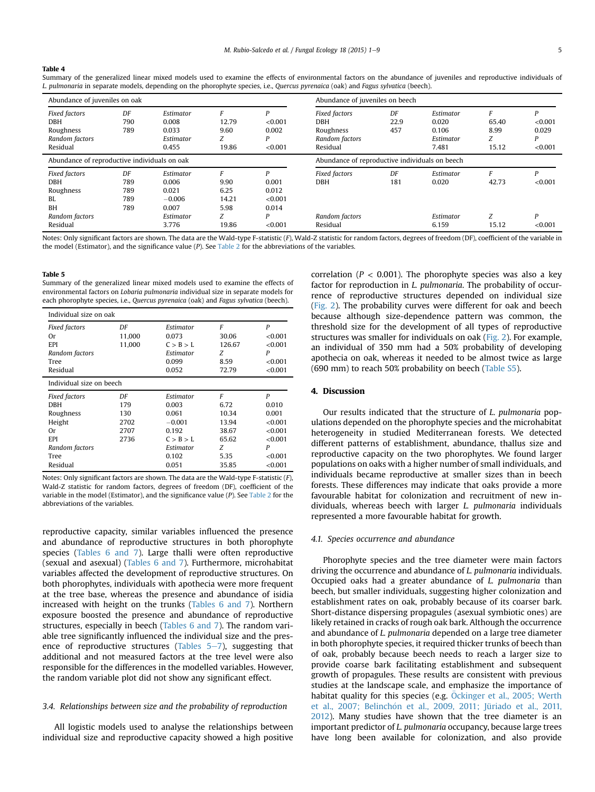# <span id="page-4-0"></span>Table 4

| Summary of the generalized linear mixed models used to examine the effects of environmental factors on the abundance of juveniles and reproductive individuals of |  |
|-------------------------------------------------------------------------------------------------------------------------------------------------------------------|--|
| L. pulmonaria in separate models, depending on the phorophyte species, i.e., Quercus pyrenaica (oak) and Fagus sylvatica (beech).                                 |  |

| Abundance of juveniles on oak                                                              |                                |                                                                        |                                                  |                                                        | Abundance of juveniles on beech                                        |                   |                                                   |                                  |                                       |  |
|--------------------------------------------------------------------------------------------|--------------------------------|------------------------------------------------------------------------|--------------------------------------------------|--------------------------------------------------------|------------------------------------------------------------------------|-------------------|---------------------------------------------------|----------------------------------|---------------------------------------|--|
| <b>Fixed factors</b><br><b>DBH</b><br>Roughness<br>Random factors<br>Residual              | DF<br>790<br>789               | Estimator<br>0.008<br>0.033<br>Estimator<br>0.455                      | E<br>12.79<br>9.60<br>Z<br>19.86                 | P<br>< 0.001<br>0.002<br>P<br>< 0.001                  | <b>Fixed factors</b><br>DBH<br>Roughness<br>Random factors<br>Residual | DF<br>22.9<br>457 | Estimator<br>0.020<br>0.106<br>Estimator<br>7.481 | F<br>65.40<br>8.99<br>Z<br>15.12 | D<br>< 0.001<br>0.029<br>D<br>< 0.001 |  |
| Abundance of reproductive individuals on oak                                               |                                |                                                                        |                                                  |                                                        | Abundance of reproductive individuals on beech                         |                   |                                                   |                                  |                                       |  |
| <b>Fixed factors</b><br><b>DBH</b><br>Roughness<br>BL.<br>BH<br>Random factors<br>Residual | DF<br>789<br>789<br>789<br>789 | Estimator<br>0.006<br>0.021<br>$-0.006$<br>0.007<br>Estimator<br>3.776 | E<br>9.90<br>6.25<br>14.21<br>5.98<br>Z<br>19.86 | D<br>0.001<br>0.012<br><0.001<br>0.014<br>P<br>< 0.001 | <b>Fixed factors</b><br>DBH<br>Random factors<br>Residual              | DF<br>181         | Estimator<br>0.020<br>Estimator<br>6.159          | 42.73<br>Z<br>15.12              | D<br>< 0.001<br>D<br>< 0.001          |  |

Notes: Only significant factors are shown. The data are the Wald-type F-statistic (F), Wald-Z statistic for random factors, degrees of freedom (DF), coefficient of the variable in the model (Estimator), and the significance value (P). See [Table 2](#page-2-0) for the abbreviations of the variables.

#### Table 5

Summary of the generalized linear mixed models used to examine the effects of environmental factors on Lobaria pulmonaria individual size in separate models for each phorophyte species, i.e., Quercus pyrenaica (oak) and Fagus sylvatica (beech).

| Individual size on oak                                                                                              |                                          |                                                                                              |                                                                     |                                                                                 |  |  |  |  |
|---------------------------------------------------------------------------------------------------------------------|------------------------------------------|----------------------------------------------------------------------------------------------|---------------------------------------------------------------------|---------------------------------------------------------------------------------|--|--|--|--|
| <b>Fixed factors</b><br>DF<br>11,000<br>Or<br>EPI<br>11.000<br>Random factors<br>Tree                               |                                          | Estimator<br>0.073<br>C > B > L<br>Estimator<br>0.099                                        | F<br>30.06<br>126.67<br>Z<br>8.59                                   | P<br>< 0.001<br>< 0.001<br>P<br>< 0.001                                         |  |  |  |  |
| Residual                                                                                                            |                                          | 0.052                                                                                        | 72.79                                                               | < 0.001                                                                         |  |  |  |  |
| Individual size on beech                                                                                            |                                          |                                                                                              |                                                                     |                                                                                 |  |  |  |  |
| <b>Fixed factors</b><br><b>DBH</b><br>Roughness<br>Height<br>Or<br><b>EPI</b><br>Random factors<br>Tree<br>Residual | DF<br>179<br>130<br>2702<br>2707<br>2736 | Estimator<br>0.003<br>0.061<br>$-0.001$<br>0.192<br>C > B > L<br>Estimator<br>0.102<br>0.051 | F<br>6.72<br>10.34<br>13.94<br>38.67<br>65.62<br>Z<br>5.35<br>35.85 | P<br>0.010<br>0.001<br>< 0.001<br>< 0.001<br>< 0.001<br>P<br>< 0.001<br>< 0.001 |  |  |  |  |

Notes: Only significant factors are shown. The data are the Wald-type F-statistic (F), Wald-Z statistic for random factors, degrees of freedom (DF), coefficient of the variable in the model (Estimator), and the significance value (P). See [Table 2](#page-2-0) for the abbreviations of the variables.

reproductive capacity, similar variables influenced the presence and abundance of reproductive structures in both phorophyte species [\(Tables 6 and 7\)](#page-5-0). Large thalli were often reproductive (sexual and asexual) [\(Tables 6 and 7](#page-5-0)). Furthermore, microhabitat variables affected the development of reproductive structures. On both phorophytes, individuals with apothecia were more frequent at the tree base, whereas the presence and abundance of isidia increased with height on the trunks [\(Tables 6 and 7](#page-5-0)). Northern exposure boosted the presence and abundance of reproductive structures, especially in beech [\(Tables 6 and 7](#page-5-0)). The random variable tree significantly influenced the individual size and the presence of reproductive structures (Tables  $5-7$ ), suggesting that additional and not measured factors at the tree level were also responsible for the differences in the modelled variables. However, the random variable plot did not show any significant effect.

# 3.4. Relationships between size and the probability of reproduction

All logistic models used to analyse the relationships between individual size and reproductive capacity showed a high positive correlation ( $P < 0.001$ ). The phorophyte species was also a key factor for reproduction in L. pulmonaria. The probability of occurrence of reproductive structures depended on individual size ([Fig. 2\)](#page-6-0). The probability curves were different for oak and beech because although size-dependence pattern was common, the threshold size for the development of all types of reproductive structures was smaller for individuals on oak ([Fig. 2\)](#page-6-0). For example, an individual of 350 mm had a 50% probability of developing apothecia on oak, whereas it needed to be almost twice as large (690 mm) to reach 50% probability on beech (Table S5).

### 4. Discussion

Our results indicated that the structure of L. pulmonaria populations depended on the phorophyte species and the microhabitat heterogeneity in studied Mediterranean forests. We detected different patterns of establishment, abundance, thallus size and reproductive capacity on the two phorophytes. We found larger populations on oaks with a higher number of small individuals, and individuals became reproductive at smaller sizes than in beech forests. These differences may indicate that oaks provide a more favourable habitat for colonization and recruitment of new individuals, whereas beech with larger L. pulmonaria individuals represented a more favourable habitat for growth.

# 4.1. Species occurrence and abundance

Phorophyte species and the tree diameter were main factors driving the occurrence and abundance of L. pulmonaria individuals. Occupied oaks had a greater abundance of L. pulmonaria than beech, but smaller individuals, suggesting higher colonization and establishment rates on oak, probably because of its coarser bark. Short-distance dispersing propagules (asexual symbiotic ones) are likely retained in cracks of rough oak bark. Although the occurrence and abundance of L. pulmonaria depended on a large tree diameter in both phorophyte species, it required thicker trunks of beech than of oak, probably because beech needs to reach a larger size to provide coarse bark facilitating establishment and subsequent growth of propagules. These results are consistent with previous studies at the landscape scale, and emphasize the importance of habitat quality for this species (e.g. O[ckinger et al., 2005; Werth](#page-8-0) et al., 2007; Belinchón et al., 2009, 2011; Jüriado et al., 2011, [2012\)](#page-8-0). Many studies have shown that the tree diameter is an important predictor of L. pulmonaria occupancy, because large trees have long been available for colonization, and also provide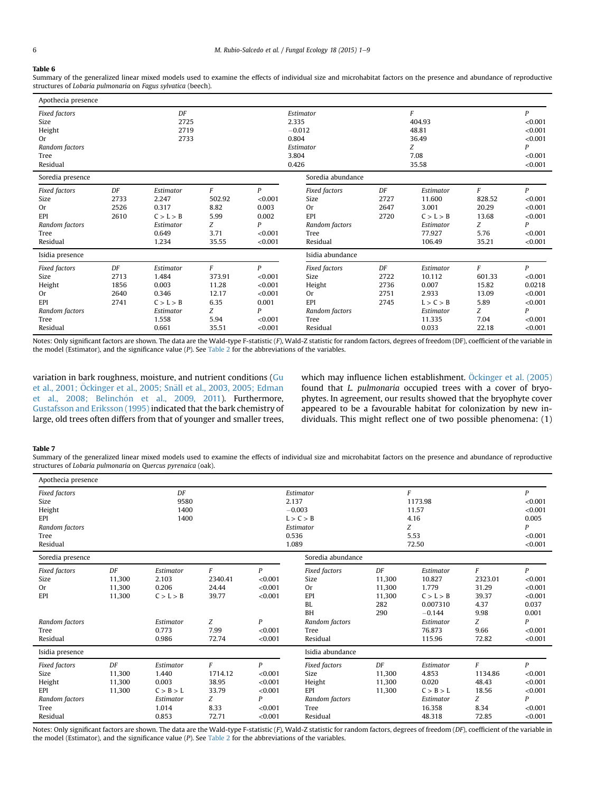#### <span id="page-5-0"></span>Table 6

Summary of the generalized linear mixed models used to examine the effects of individual size and microhabitat factors on the presence and abundance of reproductive structures of Lobaria pulmonaria on Fagus sylvatica (beech).

| Apothecia presence                                                                                               |                                    |                                                                                  |                                                             |                                                                        |                                                                                           |                                    |                                                                                    |                                                               |                                                                         |
|------------------------------------------------------------------------------------------------------------------|------------------------------------|----------------------------------------------------------------------------------|-------------------------------------------------------------|------------------------------------------------------------------------|-------------------------------------------------------------------------------------------|------------------------------------|------------------------------------------------------------------------------------|---------------------------------------------------------------|-------------------------------------------------------------------------|
| DF<br><b>Fixed factors</b><br>2725<br>Size<br>Height<br>2719<br>2733<br>0r<br>Random factors<br>Tree<br>Residual |                                    |                                                                                  |                                                             | Estimator<br>2.335<br>$-0.012$<br>0.804<br>Estimator<br>3.804<br>0.426 | F<br>404.93<br>48.81<br>36.49<br>Ζ<br>7.08<br>35.58                                       |                                    |                                                                                    | P<br>< 0.001<br>< 0.001<br>< 0.001<br>P<br>< 0.001<br>< 0.001 |                                                                         |
| Soredia presence                                                                                                 |                                    |                                                                                  |                                                             |                                                                        | Soredia abundance                                                                         |                                    |                                                                                    |                                                               |                                                                         |
| <b>Fixed factors</b><br>Size<br><b>Or</b><br><b>EPI</b><br>Random factors<br>Tree<br>Residual                    | DF<br>2733<br>2526<br>2610         | Estimator<br>2.247<br>0.317<br>C > L > B<br>Estimator<br>0.649<br>1.234          | F<br>502.92<br>8.82<br>5.99<br>Ζ<br>3.71<br>35.55           | P<br>< 0.001<br>0.003<br>0.002<br>P<br>< 0.001<br>< 0.001              | <b>Fixed factors</b><br>Size<br><b>Or</b><br>EPI<br>Random factors<br>Tree<br>Residual    | DF<br>2727<br>2647<br>2720         | Estimator<br>11.600<br>3.001<br>C > L > B<br>Estimator<br>77.927<br>106.49         | F<br>828.52<br>20.29<br>13.68<br>Ζ<br>5.76<br>35.21           | P<br>< 0.001<br>< 0.001<br>< 0.001<br>P<br>< 0.001<br>< 0.001           |
| Isidia presence                                                                                                  |                                    |                                                                                  |                                                             |                                                                        | Isidia abundance                                                                          |                                    |                                                                                    |                                                               |                                                                         |
| <b>Fixed factors</b><br><b>Size</b><br>Height<br><b>Or</b><br><b>EPI</b><br>Random factors<br>Tree<br>Residual   | DF<br>2713<br>1856<br>2640<br>2741 | Estimator<br>1.484<br>0.003<br>0.346<br>C > L > B<br>Estimator<br>1.558<br>0.661 | F<br>373.91<br>11.28<br>12.17<br>6.35<br>Ζ<br>5.94<br>35.51 | P<br>< 0.001<br>< 0.001<br>< 0.001<br>0.001<br>P<br>< 0.001<br>< 0.001 | <b>Fixed factors</b><br>Size<br>Height<br>Or<br>EPI<br>Random factors<br>Tree<br>Residual | DF<br>2722<br>2736<br>2751<br>2745 | Estimator<br>10.112<br>0.007<br>2.933<br>L > C > B<br>Estimator<br>11.335<br>0.033 | F<br>601.33<br>15.82<br>13.09<br>5.89<br>Ζ<br>7.04<br>22.18   | P<br>< 0.001<br>0.0218<br>< 0.001<br>< 0.001<br>P<br>< 0.001<br>< 0.001 |

Notes: Only significant factors are shown. The data are the Wald-type F-statistic (F), Wald-Z statistic for random factors, degrees of freedom (DF), coefficient of the variable in the model (Estimator), and the significance value (P). See [Table 2](#page-2-0) for the abbreviations of the variables.

variation in bark roughness, moisture, and nutrient conditions [\(Gu](#page-7-0) [et al., 2001;](#page-7-0) Öckinger et al., 2005; Snäll et al., 2003, 2005; Edman et al., 2008; Belinchón et al., 2009, 2011). Furthermore, [Gustafsson and Eriksson \(1995\)](#page-7-0) indicated that the bark chemistry of large, old trees often differs from that of younger and smaller trees, which may influence lichen establishment. Öckinger et al. (2005) found that L. pulmonaria occupied trees with a cover of bryophytes. In agreement, our results showed that the bryophyte cover appeared to be a favourable habitat for colonization by new individuals. This might reflect one of two possible phenomena: (1)

#### Table 7

Summary of the generalized linear mixed models used to examine the effects of individual size and microhabitat factors on the presence and abundance of reproductive structures of Lobaria pulmonaria on Quercus pyrenaica (oak).

| Apothecia presence                    |        |           |           |         |                      |        |           |         |                  |
|---------------------------------------|--------|-----------|-----------|---------|----------------------|--------|-----------|---------|------------------|
| <b>Fixed factors</b>                  |        | DF        |           |         | Estimator            | F      |           |         | $\boldsymbol{P}$ |
| Size                                  |        | 9580      |           |         | 2.137<br>1173.98     |        |           |         | < 0.001          |
| Height                                |        | 1400      |           |         | $-0.003$             |        | 11.57     |         | < 0.001          |
| <b>EPI</b>                            |        | 1400      | L > C > B |         |                      |        | 4.16      |         | 0.005            |
| Random factors                        |        |           |           |         | Estimator            |        | Ζ         |         | P                |
| Tree                                  |        |           |           |         | 0.536                |        | 5.53      |         | < 0.001          |
| Residual                              |        |           |           |         | 1.089                |        | 72.50     |         | < 0.001          |
| Soredia abundance<br>Soredia presence |        |           |           |         |                      |        |           |         |                  |
| <b>Fixed factors</b>                  | DF     | Estimator | F         | P       | <b>Fixed factors</b> | DF     | Estimator | F       | P                |
| Size                                  | 11,300 | 2.103     | 2340.41   | < 0.001 | Size                 | 11,300 | 10.827    | 2323.01 | < 0.001          |
| <b>Or</b>                             | 11,300 | 0.206     | 24.44     | < 0.001 | Or                   | 11,300 | 1.779     | 31.29   | < 0.001          |
| <b>EPI</b>                            | 11,300 | C > L > B | 39.77     | < 0.001 | EPI                  | 11,300 | C > L > B | 39.37   | < 0.001          |
|                                       |        |           |           |         | BL                   | 282    | 0.007310  | 4.37    | 0.037            |
|                                       |        |           |           |         | BH                   | 290    | $-0.144$  | 9.98    | 0.001            |
| Random factors                        |        | Estimator | Ζ         | P       | Random factors       |        | Estimator | Ζ       | P                |
| Tree                                  |        | 0.773     | 7.99      | < 0.001 | Tree                 |        | 76.873    | 9.66    | < 0.001          |
| Residual                              |        | 0.986     | 72.74     | < 0.001 | Residual             |        | 115.96    | 72.82   | < 0.001          |
| Isidia presence                       |        |           |           |         | Isidia abundance     |        |           |         |                  |
| <b>Fixed factors</b>                  | DF     | Estimator | F         | P       | <b>Fixed factors</b> | DF     | Estimator | F       | P                |
| Size                                  | 11,300 | 1.440     | 1714.12   | < 0.001 | Size                 | 11,300 | 4.853     | 1134.86 | < 0.001          |
| Height                                | 11,300 | 0.003     | 38.95     | < 0.001 | Height               | 11,300 | 0.020     | 48.43   | < 0.001          |
| <b>EPI</b>                            | 11,300 | C > B > L | 33.79     | < 0.001 | <b>EPI</b>           | 11,300 | C > B > L | 18.56   | < 0.001          |
| Random factors                        |        | Estimator | Ζ         | P       | Random factors       |        | Estimator | Ζ       | P                |
| Tree                                  |        | 1.014     | 8.33      | < 0.001 | Tree                 |        | 16.358    | 8.34    | < 0.001          |
| Residual                              |        | 0.853     | 72.71     | < 0.001 | Residual             |        | 48.318    | 72.85   | < 0.001          |

Notes: Only significant factors are shown. The data are the Wald-type F-statistic (F), Wald-Z statistic for random factors, degrees of freedom (DF), coefficient of the variable in the model (Estimator), and the significance value  $(P)$ . See [Table 2](#page-2-0) for the abbreviations of the variables.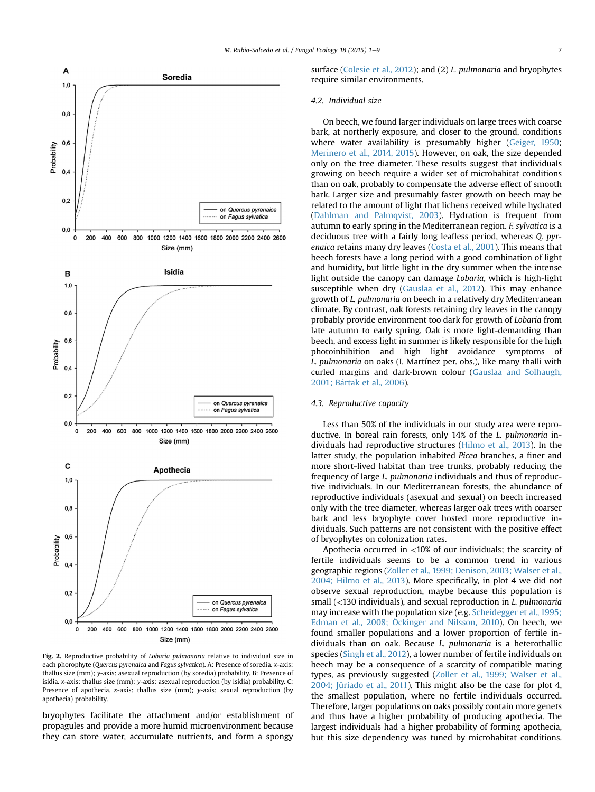<span id="page-6-0"></span>

Fig. 2. Reproductive probability of Lobaria pulmonaria relative to individual size in each phorophyte (Quercus pyrenaica and Fagus sylvatica). A: Presence of soredia. x-axis: thallus size (mm); y-axis: asexual reproduction (by soredia) probability. B: Presence of isidia. x-axis: thallus size (mm); y-axis: asexual reproduction (by isidia) probability. C: Presence of apothecia. x-axis: thallus size (mm); y-axis: sexual reproduction (by apothecia) probability.

bryophytes facilitate the attachment and/or establishment of propagules and provide a more humid microenvironment because they can store water, accumulate nutrients, and form a spongy

surface ([Colesie et al., 2012\)](#page-7-0); and (2) *L. pulmonaria* and bryophytes require similar environments.

# 4.2. Individual size

On beech, we found larger individuals on large trees with coarse bark, at northerly exposure, and closer to the ground, conditions where water availability is presumably higher [\(Geiger, 1950;](#page-7-0) [Merinero et al., 2014, 2015\)](#page-8-0). However, on oak, the size depended only on the tree diameter. These results suggest that individuals growing on beech require a wider set of microhabitat conditions than on oak, probably to compensate the adverse effect of smooth bark. Larger size and presumably faster growth on beech may be related to the amount of light that lichens received while hydrated ([Dahlman and Palmqvist, 2003](#page-7-0)). Hydration is frequent from autumn to early spring in the Mediterranean region. F. sylvatica is a deciduous tree with a fairly long leafless period, whereas Q. pyrenaica retains many dry leaves ([Costa et al., 2001](#page-7-0)). This means that beech forests have a long period with a good combination of light and humidity, but little light in the dry summer when the intense light outside the canopy can damage Lobaria, which is high-light susceptible when dry [\(Gauslaa et al., 2012\)](#page-7-0). This may enhance growth of L. pulmonaria on beech in a relatively dry Mediterranean climate. By contrast, oak forests retaining dry leaves in the canopy probably provide environment too dark for growth of Lobaria from late autumn to early spring. Oak is more light-demanding than beech, and excess light in summer is likely responsible for the high photoinhibition and high light avoidance symptoms of L. pulmonaria on oaks (I. Martínez per. obs.), like many thalli with curled margins and dark-brown colour [\(Gauslaa and Solhaugh,](#page-7-0) 2001; Bártak et al., 2006).

# 4.3. Reproductive capacity

Less than 50% of the individuals in our study area were reproductive. In boreal rain forests, only 14% of the L. pulmonaria individuals had reproductive structures [\(Hilmo et al., 2013](#page-8-0)). In the latter study, the population inhabited Picea branches, a finer and more short-lived habitat than tree trunks, probably reducing the frequency of large L. pulmonaria individuals and thus of reproductive individuals. In our Mediterranean forests, the abundance of reproductive individuals (asexual and sexual) on beech increased only with the tree diameter, whereas larger oak trees with coarser bark and less bryophyte cover hosted more reproductive individuals. Such patterns are not consistent with the positive effect of bryophytes on colonization rates.

Apothecia occurred in <10% of our individuals; the scarcity of fertile individuals seems to be a common trend in various geographic regions ([Zoller et al., 1999; Denison, 2003; Walser et al.,](#page-8-0) [2004; Hilmo et al., 2013\)](#page-8-0). More specifically, in plot 4 we did not observe sexual reproduction, maybe because this population is small (<130 individuals), and sexual reproduction in L. pulmonaria may increase with the population size (e.g. [Scheidegger et al., 1995;](#page-8-0) [Edman et al., 2008;](#page-8-0) Ö[ckinger and Nilsson, 2010](#page-8-0)). On beech, we found smaller populations and a lower proportion of fertile individuals than on oak. Because L. pulmonaria is a heterothallic species ([Singh et al., 2012\)](#page-8-0), a lower number of fertile individuals on beech may be a consequence of a scarcity of compatible mating types, as previously suggested [\(Zoller et al., 1999; Walser et al.,](#page-8-0) [2004; Jüriado et al., 2011](#page-8-0)). This might also be the case for plot 4, the smallest population, where no fertile individuals occurred. Therefore, larger populations on oaks possibly contain more genets and thus have a higher probability of producing apothecia. The largest individuals had a higher probability of forming apothecia, but this size dependency was tuned by microhabitat conditions.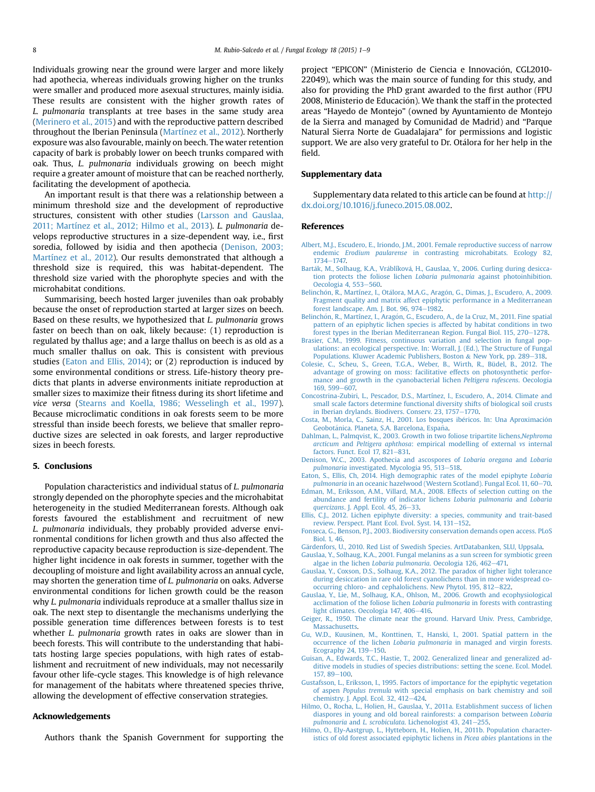<span id="page-7-0"></span>Individuals growing near the ground were larger and more likely had apothecia, whereas individuals growing higher on the trunks were smaller and produced more asexual structures, mainly isidia. These results are consistent with the higher growth rates of L. pulmonaria transplants at tree bases in the same study area ([Merinero et al., 2015\)](#page-8-0) and with the reproductive pattern described throughout the Iberian Peninsula [\(Martínez et al., 2012](#page-8-0)). Northerly exposure was also favourable, mainly on beech. The water retention capacity of bark is probably lower on beech trunks compared with oak. Thus, L. pulmonaria individuals growing on beech might require a greater amount of moisture that can be reached northerly, facilitating the development of apothecia.

An important result is that there was a relationship between a minimum threshold size and the development of reproductive structures, consistent with other studies ([Larsson and Gauslaa,](#page-8-0) [2011; Martínez et al., 2012; Hilmo et al., 2013\)](#page-8-0). L. pulmonaria develops reproductive structures in a size-dependent way, i.e., first soredia, followed by isidia and then apothecia (Denison, 2003; Martínez et al., 2012). Our results demonstrated that although a threshold size is required, this was habitat-dependent. The threshold size varied with the phorophyte species and with the microhabitat conditions.

Summarising, beech hosted larger juveniles than oak probably because the onset of reproduction started at larger sizes on beech. Based on these results, we hypothesized that L. pulmonaria grows faster on beech than on oak, likely because: (1) reproduction is regulated by thallus age; and a large thallus on beech is as old as a much smaller thallus on oak. This is consistent with previous studies (Eaton and Ellis, 2014); or (2) reproduction is induced by some environmental conditions or stress. Life-history theory predicts that plants in adverse environments initiate reproduction at smaller sizes to maximize their fitness during its short lifetime and vice versa ([Stearns and Koella, 1986; Wesselingh et al., 1997\)](#page-8-0). Because microclimatic conditions in oak forests seem to be more stressful than inside beech forests, we believe that smaller reproductive sizes are selected in oak forests, and larger reproductive sizes in beech forests.

# 5. Conclusions

Population characteristics and individual status of L. pulmonaria strongly depended on the phorophyte species and the microhabitat heterogeneity in the studied Mediterranean forests. Although oak forests favoured the establishment and recruitment of new L. pulmonaria individuals, they probably provided adverse environmental conditions for lichen growth and thus also affected the reproductive capacity because reproduction is size-dependent. The higher light incidence in oak forests in summer, together with the decoupling of moisture and light availability across an annual cycle, may shorten the generation time of L. pulmonaria on oaks. Adverse environmental conditions for lichen growth could be the reason why *L. pulmonaria* individuals reproduce at a smaller thallus size in oak. The next step to disentangle the mechanisms underlying the possible generation time differences between forests is to test whether *L. pulmonaria* growth rates in oaks are slower than in beech forests. This will contribute to the understanding that habitats hosting large species populations, with high rates of establishment and recruitment of new individuals, may not necessarily favour other life-cycle stages. This knowledge is of high relevance for management of the habitats where threatened species thrive, allowing the development of effective conservation strategies.

# Acknowledgements

Authors thank the Spanish Government for supporting the

project "EPICON" (Ministerio de Ciencia e Innovación, CGL2010-22049), which was the main source of funding for this study, and also for providing the PhD grant awarded to the first author (FPU 2008, Ministerio de Educación). We thank the staff in the protected areas "Hayedo de Montejo" (owned by Ayuntamiento de Montejo de la Sierra and managed by Comunidad de Madrid) and "Parque Natural Sierra Norte de Guadalajara" for permissions and logistic support. We are also very grateful to Dr. Otalora for her help in the field.

# Supplementary data

Supplementary data related to this article can be found at [http://](http://dx.doi.org/10.1016/j.funeco.2015.08.002) [dx.doi.org/10.1016/j.funeco.2015.08.002.](http://dx.doi.org/10.1016/j.funeco.2015.08.002)

#### References

- [Albert, M.J., Escudero, E., Iriondo, J.M., 2001. Female reproductive success of narrow](http://refhub.elsevier.com/S1754-5048(15)00095-1/sref1) endemic Erodium paularense [in contrasting microhabitats. Ecology 82,](http://refhub.elsevier.com/S1754-5048(15)00095-1/sref1) [1734](http://refhub.elsevier.com/S1754-5048(15)00095-1/sref1)-[1747.](http://refhub.elsevier.com/S1754-5048(15)00095-1/sref1)
- [Bart](http://refhub.elsevier.com/S1754-5048(15)00095-1/sref2)á[k, M., Solhaug, K.A., Vr](http://refhub.elsevier.com/S1754-5048(15)00095-1/sref2)áblíková, H., Gauslaa, Y., 2006. Curling during desicca[tion protects the foliose lichen](http://refhub.elsevier.com/S1754-5048(15)00095-1/sref2) Lobaria pulmonaria against photoinhibition. [Oecologia 4, 553](http://refhub.elsevier.com/S1754-5048(15)00095-1/sref2)-[560.](http://refhub.elsevier.com/S1754-5048(15)00095-1/sref2)
- [Belinch](http://refhub.elsevier.com/S1754-5048(15)00095-1/sref3)ó[n, R., Martínez, I., Ot](http://refhub.elsevier.com/S1754-5048(15)00095-1/sref3)á[lora, M.A.G., Arag](http://refhub.elsevier.com/S1754-5048(15)00095-1/sref3)ó[n, G., Dimas, J., Escudero, A., 2009.](http://refhub.elsevier.com/S1754-5048(15)00095-1/sref3) [Fragment quality and matrix affect epiphytic performance in a Mediterranean](http://refhub.elsevier.com/S1754-5048(15)00095-1/sref3)  $forest$  landscape. Am. J. Bot. 96, 974 $-1982$  $-1982$ .
- [Belinch](http://refhub.elsevier.com/S1754-5048(15)00095-1/sref4)ó[n, R., Martínez, I., Arag](http://refhub.elsevier.com/S1754-5048(15)00095-1/sref4)ó[n, G., Escudero, A., de la Cruz, M., 2011. Fine spatial](http://refhub.elsevier.com/S1754-5048(15)00095-1/sref4) [pattern of an epiphytic lichen species is affected by habitat conditions in two](http://refhub.elsevier.com/S1754-5048(15)00095-1/sref4) [forest types in the Iberian Mediterranean Region. Fungal Biol. 115, 270](http://refhub.elsevier.com/S1754-5048(15)00095-1/sref4)-[1278.](http://refhub.elsevier.com/S1754-5048(15)00095-1/sref4)
- [Brasier, C.M., 1999. Fitness, continuous variation and selection in fungal pop](http://refhub.elsevier.com/S1754-5048(15)00095-1/sref6)[ulations: an ecological perspective. In: Worrall, J. \(Ed.\), The Structure of Fungal](http://refhub.elsevier.com/S1754-5048(15)00095-1/sref6) [Populations. Kluwer Academic Publishers, Boston](http://refhub.elsevier.com/S1754-5048(15)00095-1/sref6) & [New York, pp. 289](http://refhub.elsevier.com/S1754-5048(15)00095-1/sref6)-[318.](http://refhub.elsevier.com/S1754-5048(15)00095-1/sref6)
- [Colesie, C., Scheu, S., Green, T.G.A., Weber, B., Wirth, R., Büdel, B., 2012. The](http://refhub.elsevier.com/S1754-5048(15)00095-1/sref7) [advantage of growing on moss: facilitative effects on photosynthetic perfor](http://refhub.elsevier.com/S1754-5048(15)00095-1/sref7)[mance and growth in the cyanobacterial lichen](http://refhub.elsevier.com/S1754-5048(15)00095-1/sref7) Peltigera rufescens. Oecologia [169, 599](http://refhub.elsevier.com/S1754-5048(15)00095-1/sref7)-[607.](http://refhub.elsevier.com/S1754-5048(15)00095-1/sref7)
- [Concostrina-Zubiri, L., Pescador, D.S., Martínez, I., Escudero, A., 2014. Climate and](http://refhub.elsevier.com/S1754-5048(15)00095-1/sref8) [small scale factors determine functional diversity shifts of biological soil crusts](http://refhub.elsevier.com/S1754-5048(15)00095-1/sref8) in Iberian drylands. Biodivers. Conserv.  $23$ ,  $1757-1770$  $1757-1770$ .
- [Costa, M., Morla, C., Sainz, H., 2001. Los bosques ib](http://refhub.elsevier.com/S1754-5048(15)00095-1/sref9)é[ricos. In: Una Aproximaci](http://refhub.elsevier.com/S1754-5048(15)00095-1/sref9)ó[n](http://refhub.elsevier.com/S1754-5048(15)00095-1/sref9) [Geobot](http://refhub.elsevier.com/S1754-5048(15)00095-1/sref9)ánica. Planeta, S.A. Barcelona, España.
- [Dahlman, L., Palmqvist, K., 2003. Growth in two foliose tripartite lichens,](http://refhub.elsevier.com/S1754-5048(15)00095-1/sref62)Nephroma arcticum and Peltigera aphthosa[: empirical modelling of external](http://refhub.elsevier.com/S1754-5048(15)00095-1/sref62) vs internal factors. Funct. Ecol  $17, 821-831$ .
- [Denison, W.C., 2003. Apothecia and ascospores of](http://refhub.elsevier.com/S1754-5048(15)00095-1/sref10) Lobaria oregana and Lobaria pulmonaria [investigated. Mycologia 95, 513](http://refhub.elsevier.com/S1754-5048(15)00095-1/sref10)-[518.](http://refhub.elsevier.com/S1754-5048(15)00095-1/sref10)
- [Eaton, S., Ellis, Ch, 2014. High demographic rates of the model epiphyte](http://refhub.elsevier.com/S1754-5048(15)00095-1/sref11) Lobaria pulmonaria [in an oceanic hazelwood \(Western Scotland\). Fungal Ecol. 11, 60](http://refhub.elsevier.com/S1754-5048(15)00095-1/sref11)-[70](http://refhub.elsevier.com/S1754-5048(15)00095-1/sref11).
- [Edman, M., Eriksson, A.M., Villard, M.A., 2008. Effects of selection cutting on the](http://refhub.elsevier.com/S1754-5048(15)00095-1/sref12) [abundance and fertility of indicator lichens](http://refhub.elsevier.com/S1754-5048(15)00095-1/sref12) Lobaria pulmonaria and Lobaria quercizans[. J. Appl. Ecol. 45, 26](http://refhub.elsevier.com/S1754-5048(15)00095-1/sref12)-[33.](http://refhub.elsevier.com/S1754-5048(15)00095-1/sref12)
- [Ellis, C.J., 2012. Lichen epiphyte diversity: a species, community and trait-based](http://refhub.elsevier.com/S1754-5048(15)00095-1/sref13) [review. Perspect. Plant Ecol. Evol. Syst. 14, 131](http://refhub.elsevier.com/S1754-5048(15)00095-1/sref13)-[152.](http://refhub.elsevier.com/S1754-5048(15)00095-1/sref13)
- [Fonseca, G., Benson, P.J., 2003. Biodiversity conservation demands open access. PLoS](http://refhub.elsevier.com/S1754-5048(15)00095-1/sref14) [Biol. 1, 46](http://refhub.elsevier.com/S1754-5048(15)00095-1/sref14).
- [G](http://refhub.elsevier.com/S1754-5048(15)00095-1/sref15)ä[rdenfors, U., 2010. Red List of Swedish Species. ArtDatabanken, SLU, Uppsala](http://refhub.elsevier.com/S1754-5048(15)00095-1/sref15).
- [Gauslaa, Y., Solhaug, K.A., 2001. Fungal melanins as a sun screen for symbiotic green](http://refhub.elsevier.com/S1754-5048(15)00095-1/sref16) algae in the lichen Lobaria pulmonaria[. Oecologia 126, 462](http://refhub.elsevier.com/S1754-5048(15)00095-1/sref16)-[471.](http://refhub.elsevier.com/S1754-5048(15)00095-1/sref16)
- [Gauslaa, Y., Coxson, D.S., Solhaug, K.A., 2012. The paradox of higher light tolerance](http://refhub.elsevier.com/S1754-5048(15)00095-1/sref17) [during desiccation in rare old forest cyanolichens than in more widespread co](http://refhub.elsevier.com/S1754-5048(15)00095-1/sref17)[occurring chloro- and cephalolichens. New Phytol. 195, 812](http://refhub.elsevier.com/S1754-5048(15)00095-1/sref17)-[822](http://refhub.elsevier.com/S1754-5048(15)00095-1/sref17).
- [Gauslaa, Y., Lie, M., Solhaug, K.A., Ohlson, M., 2006. Growth and ecophysiological](http://refhub.elsevier.com/S1754-5048(15)00095-1/sref18) [acclimation of the foliose lichen](http://refhub.elsevier.com/S1754-5048(15)00095-1/sref18) Lobaria pulmonaria in forests with contrasting [light climates. Oecologia 147, 406](http://refhub.elsevier.com/S1754-5048(15)00095-1/sref18)-[416](http://refhub.elsevier.com/S1754-5048(15)00095-1/sref18).
- [Geiger, R., 1950. The climate near the ground. Harvard Univ. Press, Cambridge,](http://refhub.elsevier.com/S1754-5048(15)00095-1/sref63) [Massachusetts.](http://refhub.elsevier.com/S1754-5048(15)00095-1/sref63)
- [Gu, W.D., Kuusinen, M., Konttinen, T., Hanski, I., 2001. Spatial pattern in the](http://refhub.elsevier.com/S1754-5048(15)00095-1/sref19) occurrence of the lichen Lobaria pulmonaria [in managed and virgin forests.](http://refhub.elsevier.com/S1754-5048(15)00095-1/sref19) [Ecography 24, 139](http://refhub.elsevier.com/S1754-5048(15)00095-1/sref19)-[150.](http://refhub.elsevier.com/S1754-5048(15)00095-1/sref19)
- [Guisan, A., Edwards, T.C., Hastie, T., 2002. Generalized linear and generalized ad](http://refhub.elsevier.com/S1754-5048(15)00095-1/sref20)[ditive models in studies of species distributions: setting the scene. Ecol. Model.](http://refhub.elsevier.com/S1754-5048(15)00095-1/sref20) [157, 89](http://refhub.elsevier.com/S1754-5048(15)00095-1/sref20)-[100](http://refhub.elsevier.com/S1754-5048(15)00095-1/sref20).
- [Gustafsson, L., Eriksson, I., 1995. Factors of importance for the epiphytic vegetation](http://refhub.elsevier.com/S1754-5048(15)00095-1/sref21) of aspen Populus tremula [with special emphasis on bark chemistry and soil](http://refhub.elsevier.com/S1754-5048(15)00095-1/sref21) [chemistry. J. Appl. Ecol. 32, 412](http://refhub.elsevier.com/S1754-5048(15)00095-1/sref21)-[424.](http://refhub.elsevier.com/S1754-5048(15)00095-1/sref21)
- [Hilmo, O., Rocha, L., Holien, H., Gauslaa, Y., 2011a. Establishment success of lichen](http://refhub.elsevier.com/S1754-5048(15)00095-1/sref22) [diaspores in young and old boreal rainforests: a comparison between](http://refhub.elsevier.com/S1754-5048(15)00095-1/sref22) Lobaria pulmonaria and L. scrobiculata[. Lichenologist 43, 241](http://refhub.elsevier.com/S1754-5048(15)00095-1/sref22)-[255](http://refhub.elsevier.com/S1754-5048(15)00095-1/sref22).
- [Hilmo, O., Ely-Aastgrup, L., Hytteborn, H., Holien, H., 2011b. Population character](http://refhub.elsevier.com/S1754-5048(15)00095-1/sref23)[istics of old forest associated epiphytic lichens in](http://refhub.elsevier.com/S1754-5048(15)00095-1/sref23) Picea abies plantations in the